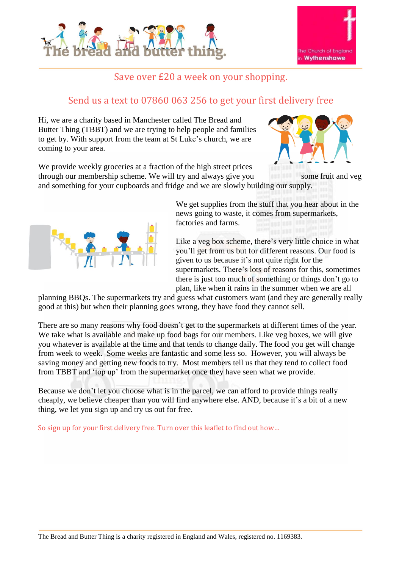



## Save over £20 a week on your shopping.

## Send us a text to 07860 063 256 to get your first delivery free

Hi, we are a charity based in Manchester called The Bread and Butter Thing (TBBT) and we are trying to help people and families to get by. With support from the team at St Luke's church, we are coming to your area.



We provide weekly groceries at a fraction of the high street prices through our membership scheme. We will try and always give you some fruit and veg

and something for your cupboards and fridge and we are slowly building our supply.



We get supplies from the stuff that you hear about in the news going to waste, it comes from supermarkets, factories and farms.

Like a veg box scheme, there's very little choice in what you'll get from us but for different reasons. Our food is given to us because it's not quite right for the supermarkets. There's lots of reasons for this, sometimes there is just too much of something or things don't go to plan, like when it rains in the summer when we are all

planning BBQs. The supermarkets try and guess what customers want (and they are generally really good at this) but when their planning goes wrong, they have food they cannot sell.

There are so many reasons why food doesn't get to the supermarkets at different times of the year. We take what is available and make up food bags for our members. Like veg boxes, we will give you whatever is available at the time and that tends to change daily. The food you get will change from week to week. Some weeks are fantastic and some less so. However, you will always be saving money and getting new foods to try. Most members tell us that they tend to collect food from TBBT and 'top up' from the supermarket once they have seen what we provide.

Because we don't let you choose what is in the parcel, we can afford to provide things really cheaply, we believe cheaper than you will find anywhere else. AND, because it's a bit of a new thing, we let you sign up and try us out for free.

So sign up for your first delivery free. Turn over this leaflet to find out how…